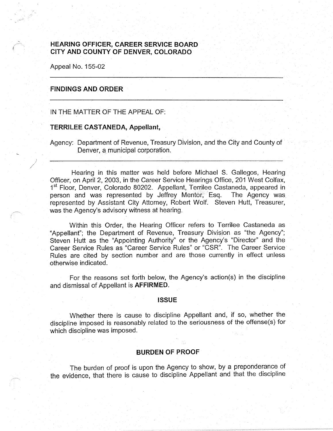# **HEARING OFFICER, CAREER SERVICE BOARD CITY AND COUNTY OF DENVER, COLORADO**

Appeal No. 155-02

# **FINDINGS AND ORDER**

IN THE MATTER OF THE APPEAL OF:

### **TERRILEE CASTANEDA, Appellant,**

Agency: Department of Revenue, Treasury Division, and the City and County of Denver, a municipal corporation.

Hearing in this matter was held before Michael S. Gallegos, Hearing Officer, on April 2, 2003, in the Career Service Hearings Office, 201 West Colfax, 1<sup>st</sup> Floor, Denver, Colorado 80202. Appellant, Terrilee Castaneda, appeared in person and was represented by Jeffrey Mentor, Esq. The Agency was represented by Assistant City Attorney, Robert Wolf. Steven Hutt, Treasurer, was the Agency's advisory witness at hearing.

Within this Order, the Hearing Officer refers to Terrilee Castaneda as "Appellant"; the Department of Revenue, Treasury Division as "the Agency"; Steven Hutt as the "Appointing Authority" or the Agency's "Director" and the Career Service Rules as "Career Service Rules" or "CSR". The Career Service· Rules are cited by section number and are those currently in effect unless otherwise indicated.

For the reasons set forth below, the Agency's action(s) in the discipline and dismissal of Appellant is **AFFIRMED.** 

### **ISSUE**

Whether there is cause to discipline Appellant and, if so, whether the discipline imposed is reasonably related to the seriousness of the offense(s) for which discipline was imposed.

## **BURDEN OF PROOF**

The burden of proof is upon the Agency to show, by a preponderance of the evidence, that there is cause to discipline Appellant and that the discipline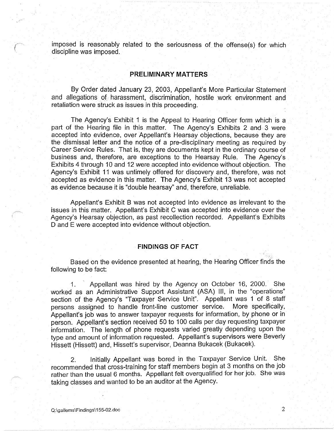imposed is reasonably related to the seriousness of the offense(s) for which discipline was imposed.

## **PRELIMINARY MATTERS**

By Order dated January 23, 2003, Appellant's More Particular Statement and allegations of harassment, discrimination, hostile work environment and retaliation were struck as issues in this proceeding.

The Agency's Exhibit 1 is the Appeal to Hearing Officer form which is a part of the Hearing file in this matter. The Agency's Exhibits 2 and 3 were accepted into evidence, over Appellant's Hearsay objections, because they are the dismissal letter and the notice of a pre-disciplinary meeting as required by Career Service Rules. That is, they are documents kept in the ordinary course of business and, therefore, are exceptions to the Hearsay Rule. The Agency's Exhibits 4 through 10 and 12 were accepted into evidence without objection. The Agency's Exhibit 11 was untimely offered for discovery and, therefore, was not accepted as evidence in this matter. The Agency's Exhibit 13 was not accepted as evidence because it is "double hearsay" and, therefore, unreliable.

Appellant's Exhibit B was not accepted into evidence as irrelevant to the issues in this matter. Appellant's Exhibit C was accepted into evidence over the Agency's Hearsay objection, as past recollection recorded. Appellant's Exhibits D and E were accepted into evidence without objection.

## **FINDINGS OF FACT**

Based on the evidence presented at hearing, the Hearing Officer finds the following to be fact:

1. Appellant was hired by the Agency on October 16, 2000. She worked as an Administrative Support Assistant (ASA) Ill, in the "operations" section of the Agency's "Taxpayer Service Unit". Appellant was 1 of 8 staff persons assigned to handle front-line customer service. More specifically, Appellant's job was to answer taxpayer requests for information, by phone or in person. Appellant's section received 50 to 100 calls per day requesting taxpayer information. The length of phone requests varied greatly depending upon the type and amount of information requested. Appellant's supervisors were Beverly Hissett (Hissett) and, Hissett's supervisor, Deanna Bukacek (Bukacek).

2. Initially Appellant was bored in the Taxpayer Service Unit. She recommended that cross-training for staff members begin at 3 months on the job rather than the usual 6 months. Appellant felt overqualified for her job. She was taking classes and wanted to be an auditor at the Agency.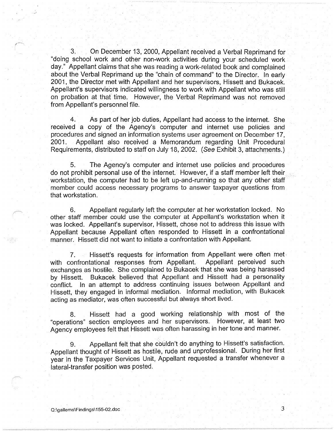3. On December 13, 2000, Appellant received a Verbal Reprimand for "doing school work and other non-work activities during your scheduled work day." Appetlant claims that she was reading a work-related book and complained about the Verbal Reprimand up the "chain of command" to the Director. In early 2001, the Director met with Appellant and her supervisors, Hissett and Bukacek. Appellant's supervisors indicated willingness to work with Appellant who was still on probation at that time. However, the Verbal Reprimand was not removed from Appellant's personnel file.

4. As part of her job duties, Appellant had access to the internet. She received a copy of the Agency's computer and internet use policies and procedures and signed an information systems user agreement on December 17, 2001. Appellant also received a Memorandum regarding Unit Procedural Requirements, distributed to staff on July 18, 2002. (See Exhibit 3, attachments.)

5. The Agency's computer and internet use policies and procedures do not prohibit personal use of the internet. However, if a staff member left their workstation, the computer had to be left up-and-running so that any other staff member could access necessary programs to answer taxpayer questions from that workstation.

6. Appellant regularly left the computer at her workstation locked. No other staff member could use the computer at Appellant's workstation when it was locked. Appellant's supervisor, Hissett, chose not to address this issue with Appellant because Appellant often responded to Hissett in a confrontational manner. Hissett did not want to initiate a confrontation with Appellant.

7. Hissett's requests for information from Appellant were often met with confrontational responses from Appellant. Appellant perceived such exchanges as hostile. She complained to Bukacek that she was being harassed by Hissett. Bukacek believed that Appellant and Hissett had a personality conflict. In an attempt to address continuing issues between Appellant and Hissett, they engaged in informal mediation. Informal mediation, with Bukacek acting as mediator, was often successful but always short lived.

8. Hissett had a good working relationship with most of the "operations" section employees and her supervisors. However, at least two Agency employees felt that Hissett was often harassing in her tone and manner.

9. Appellant felt that she cbuldn't do anything to Hissett's satisfaction. Appellant thought of Hissett as hostile, rude and unprofessional. During her first year in the Taxpayer Services Unit, Appellant requested a transfer whenever a lateral-transfer position was posted.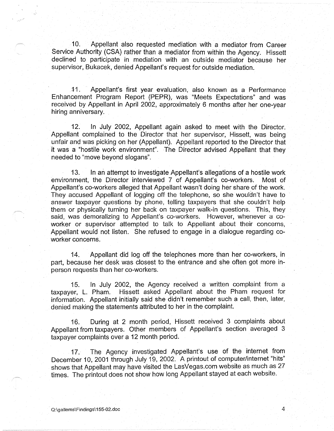10. Appellant also requested mediation with a mediator from Career Service Authority (CSA) rather than a mediator from within the Agency. Hissett declined to participate in mediation with an outside mediator because her supervisor, Bukacek, denied Appellant's request for outside mediation.

11. Appellant's first year evaluation, also known as a Performance Enhancement Program Report (PEPR), was "Meets Expectations" and was received by Appellant in April 2002, approximately 6 months after her one-year hiring anniversary.

12. In July 2002, Appellant again asked to meet with the Director. Appellant complained to the Director that her supervisor, Hissett, was being unfair and was picking on her (Appellant). Appellant reported to the Director that it was a "hostile work environment". The Director advised Appellant that they needed to "move beyond slogans".

13. In an attempt to investigate Appellant's allegations of a hostile work environment, the Director interviewed 7 of Appellant's co-workers. Most of Appellant's co-workers alleged that Appellant wasn't doing her share of the work. They accused Appellant of logging off the telephone, so she wouldn't have to answer taxpayer questions by phone, telling taxpayers that she couldn't help them or physically turning her back on taxpayer walk-in questions. This, they said, was demoralizing to Appellant's co-workers. However, whenever a coworker or supervisor attempted to talk to Appellant about their concerns, Appellant would not listen. She refused to engage in a dialogue regarding coworker concerns.

14. Appellant did log off the telephones more than her co-workers, in part, because her desk was closest to the entrance and she often got more inperson requests than her co-workers.

15. In July 2002, the Agency received a written complaint from a taxpayer, L. Pham. Hissett asked Appellant about the Pham request for information. Appellant initially said she didn't remember such a call, then, later, denied making the statements attributed to her in the complaint.

16. During at 2 month period, Hissett received 3 complaints about Appellant from taxpayers. Other members of Appellant's section averaged 3 taxpayer complaints over a 12 month period.

17. The Agency investigated Appellant's use of the internet from December 10, 2001 through July 19, 2002. A printout of computer/internet "hits" shows that Appellant may have visited the LasVegas.com website as much as 27 times. The printout does not show how long Appellant stayed at each website.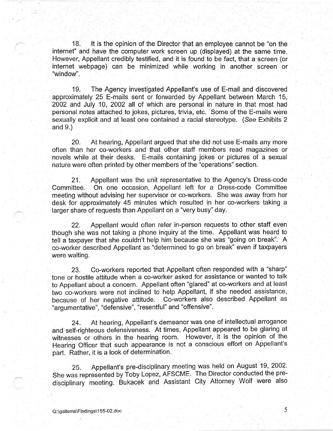18. It is the opinion of the Director that an employee cannot be "on the internet" and have the computer work screen up (displayed) at the same time. However, Appellant credibly testified, and it is found to be fact, that a screen (or internet webpage) can be minimized while working in another screen or "window".

19. The Agency investigated Appellant's use of E-mail and discovered approximately 25 E-mails sent or forwarded by Appellant between March 15, 2002 and July 10, 2002 all of which are personal in nature in that most had personal notes attached to jokes, pictures, trivia, etc. Some of the E-mails were sexually explicit and at least one contained a racial stereotype. (See Exhibits 2 and 9.)

20. At hearing, Appellant argued that she did not use E-mails any more often than her co-workers and that other staff members read magazines or novels while at their desks. E-mails containing jokes or pictures of a sexual nature were often printed by other members of the "operations" section.

21. Appellant was the unit representative to the Agency's Dress-code Committee. On one occasion, Appellant left for a Dress-code Committee meeting without advising her supervisor or co-workers. She was away from her desk for approximately 45 minutes which resulted in her co-workers taking a larger share of requests than Appellant on a "very busy" day.

22. Appellant would often refer in-person requests to other staff even though she was not taking a phone inquiry at the time. Appellant was heard to tell a taxpayer that she couldn't help him because she was "going on break". A co-worker described Appellant as "determined to go on break" even if taxpayers were waiting.

23. Co-workers reported that Appellant often responded with a "sharp" tone or hostile attitude when a co-worker asked for assistance or wanted to talk to Appellant about a concern. Appellant often "glared" at co-workers and at least two co-workers were not inclined to help Appellant, if she needed assistance, because of her negative attitude. Co-workers also described Appellant as "argumentative", "defensive", "resentful" and "offensive".

24. At hearing, Appellant's demeanor was one of intellectual arrogance and self-righteous defensiveness. At times, Appellant appeared to be glaring at witnesses or others in the hearing room. However, it is the opinion of the Hearing Officer that such appearance is not a conscious effort on Appellant's part. Rather, it is a look of determination.

25. Appellant's pre-disciplinary meeting was held on August 19, 2002. She was represented by Toby Lopez, AFSCME. The Director conducted the predisciplinary meeting. Bukacek and Assistant City Attorney Wolf were also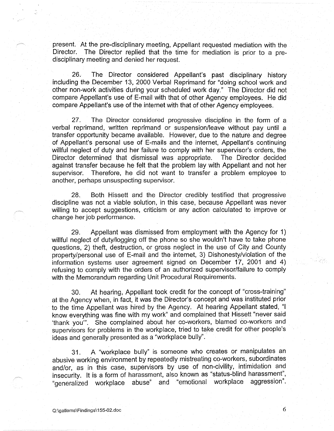present. At the pre-disciplinary meeting, Appellant requested mediation with the Director. The Director replied that the time for mediation is prior to a predisciplinary meeting and denied her request.

26. The Director considered Appellant's past disciplinary history including the December 13, 2000 Verbal Reprimand for "doing school work and other non-work activities during your scheduled work day." The Director did not compare Appellant's use of E-mail with that of other Agency employees. He did compare Appellant's use of the internet with that of other Agency employees.

27. The Director considered progressive discipline in the form of a verbal reprimand, written reprimand or suspension/leave without pay until a transfer opportunity became available. However, due to the nature and degree of Appellant's personal use of E-mails and the internet, Appellant's continuing willful neglect of duty and her failure to comply with her supervisor's orders, the Director determined that dismissal was appropriate. The Director decided against transfer because he felt that the problem lay with Appellant and not her supervisor. Therefore, he did not want to transfer a problem employee to another, perhaps unsuspecting supervisor.

28. Both Hissett and the Director credibly testified that progressive discipline was not a viable solution, in this case, because Appellant was never willing to accept suggestions, criticism or any action calculated to improve or change her job performance.

29. Appellant was dismissed from employment with the Agency for 1) willful neglect of duty/logging off the phone so she wouldn't have to take phone questions, 2) theft, destruction, or gross neglect in the use of City and County property/personal use of E-mail and the internet, 3) Dishonesty/violation of the information systems user agreement signed on December 17, 2001 and 4) refusing to comply with the orders of an authorized supervisor/failure to comply with the Memorandum regarding Unit Procedural Requirements.

30. At hearing, Appellant took credit for the concept of "cross-training" at the Agency when, in fact, it was the Director's concept and was instituted prior to the time Appellant was hired by the Agency. At hearing Appellant stated, "I know everything was fine with my work" and complained that Hissett "never said 'thank you"'. She complained about her co-workers, blamed co-workers and supervisors for problems in the workplace, tried to take credit for other people's ideas and generally presented as a "workplace bully".

31. A "workplace bully" is someone who creates or manipulates an abusive working environment by repeatedly mistreating co-workers, subordinates and/or, as in this case, supervisors by use of non-civility, intimidation and insecurity. It is a form of harassment, also known as "status-blind harassment", "generalized workplace abuse" and "emotional workplace aggression".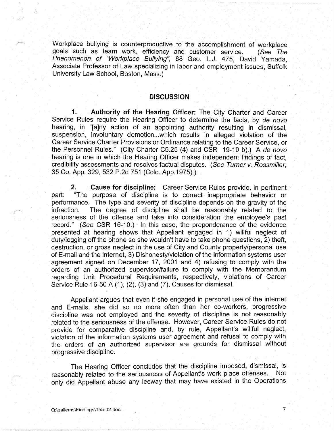Workplace bullying is counterproductive to the accomplishment of workplace goals such as team work, efficiency and customer service. (See The Phenomenon of "Workplace Bullying", 88 Geo. L.J. 475, David Yamada, Associate Professor of Law specializing in labor and employment issues, Suffolk University Law School, Boston, Mass.)

# **DISCUSSION**

**1. Authority of the Hearing Officer:** The City Charter and Career Service Rules require the Hearing Officer to determine the facts, by de novo hearing, in "[a]ny action of an appointing authority resulting in dismissal, suspension, involuntary demotion...which results in alleged violation of the Career Service Charter Provisions or Ordinance relating to the Career Service, or the Personnel Rules." (City Charter C5.25 (4) and CSR 19-10 b).) A de novo hearing is one in which the Hearing Officer makes independent findings of fact, credibility assessments and resolves factual disputes. (See Turner v. Rossmiller, 35 Co. App. 329, 532 P.2d 751 (Colo. App.1975).)

**2. Cause for discipline:** Career Service Rules provide, in pertinent part: "The purpose of discipline is to correct inappropriate behavior or performance. The type and severity of discipline depends on the gravity of the infraction. The degree of discipline shall be reasonably related to the seriousness of the offense and take into consideration the employee's past record." (See CSR 16-10.) In this case, the preponderance of the evidence presented at hearing shows that Appellant engaged in 1) willful neglect of duty/logging off the phone so she wouldn't have to take phone questions, 2) theft, destruction, or gross neglect in the use of City and County property/personal use of E-mail and the internet, 3) Dishonesty/violation of the information systems user agreement signed on December 17, 2001 and 4) refusing to comply with the orders of an authorized supervisor/failure to comply with the Memorandum regarding Unit Procedural Requirements, respectively, violations of Career Service Rule 16-50 A (1), (2), (3) and (7), Causes for dismissal.

Appellant argues that even if she engaged in personal use of the internet and E-mails, she did so no more often than her co-workers, progressive discipline was not employed and the severity of discipline is not reasonably related to the seriousness of the offense. However, Career Service Rules do not provide for comparative discipline and, by rule, Appellant's willful neglect, violation of the information systems user agreement and refusal to comply with the orders of an authorized supervisor are grounds for dismissal without progressive discipline.

The Hearing Officer concludes that the discipline imposed, dismissal, is reasonably related to the seriousness of Appellant's work place offenses. Not only did Appellant abuse any leeway that may have existed in the Operations